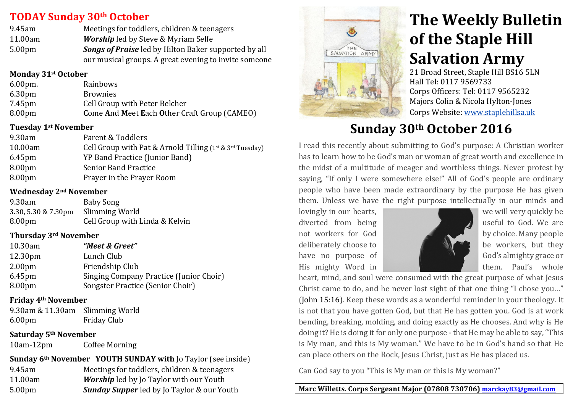# **TODAY Sunday&30th October &&**

| 9.45am             | Meetings for toddlers, children & teenagers                 |
|--------------------|-------------------------------------------------------------|
| 11.00am            | <b>Worship</b> led by Steve & Myriam Selfe                  |
| 5.00 <sub>pm</sub> | <b>Songs of Praise</b> led by Hilton Baker supported by all |
|                    | our musical groups. A great evening to invite someone       |

### **Monday&31st October**

| $6.00pm$ .         | Rainbows                                            |
|--------------------|-----------------------------------------------------|
| 6.30 <sub>pm</sub> | <b>Brownies</b>                                     |
| 7.45pm             | Cell Group with Peter Belcher                       |
| 8.00pm             | <b>Come And Meet Each Other Craft Group (CAMEO)</b> |

### **Tuesday&1st November**

| 9.30am             | Parent & Toddlers                                                 |
|--------------------|-------------------------------------------------------------------|
| 10.00am            | Cell Group with Pat & Arnold Tilling $(1^{st} \& 3^{rd}$ Tuesday) |
| 6.45pm             | YP Band Practice (Junior Band)                                    |
| 8.00 <sub>pm</sub> | <b>Senior Band Practice</b>                                       |
| 8.00 <sub>pm</sub> | Prayer in the Prayer Room                                         |

### **Wednesday&2nd November**

| 9.30am              | <b>Baby Song</b>               |
|---------------------|--------------------------------|
| 3.30, 5.30 & 7.30pm | Slimming World                 |
| 8.00 <sub>pm</sub>  | Cell Group with Linda & Kelvin |

### **Thursday&3rd November**

| 10.30am            | "Meet & Greet"                                 |
|--------------------|------------------------------------------------|
| 12.30pm            | Lunch Club                                     |
| 2.00 <sub>pm</sub> | Friendship Club                                |
| 6.45 <sub>pm</sub> | <b>Singing Company Practice (Junior Choir)</b> |
| 8.00 <sub>pm</sub> | Songster Practice (Senior Choir)               |
|                    |                                                |

### **Friday&4th November**

| 9.30am & 11.30am Slimming World |                    |
|---------------------------------|--------------------|
| 6.00 <sub>pm</sub>              | <b>Friday Club</b> |

### **Saturday&5th November**

10am-12pm Coffee Morning

**Sunday 6th November YOUTH SUNDAY with Io Taylor (see inside)** 9.45am Meetings for toddlers, children & teenagers 11.00am *Worship* led by Jo Taylor with our Youth 5.00pm **Sunday Supper** led by Jo Taylor & our Youth



# **The Weekly Bulletin of the Staple Hill Salvation Army**

21 Broad Street, Staple Hill BS16 5LN Hall Tel: 0117 9569733 Corps Officers: Tel: 0117 9565232 Majors Colin & Nicola Hylton-Jones Corps Website: www.staplehillsa.uk

# **Sunday&30th October 2016**

I read this recently about submitting to God's purpose: A Christian worker has to learn how to be God's man or woman of great worth and excellence in the midst of a multitude of meager and worthless things. Never protest by saying, "If only I were somewhere else!" All of God's people are ordinary people who have been made extraordinary by the purpose He has given them. Unless we have the right purpose intellectually in our minds and



heart, mind, and soul were consumed with the great purpose of what Jesus Christ came to do, and he never lost sight of that one thing "I chose you..." (John 15:16). Keep these words as a wonderful reminder in your theology. It is not that you have gotten God, but that He has gotten you. God is at work bending, breaking, molding, and doing exactly as He chooses. And why is He doing it? He is doing it for only one purpose - that He may be able to say, "This is My man, and this is My woman." We have to be in God's hand so that He can place others on the Rock, Jesus Christ, just as He has placed us.

Can God say to you "This is My man or this is My woman?"

# **Marc Willetts. Corps Sergeant Major (07808 730706) marckay83@gmail.com**